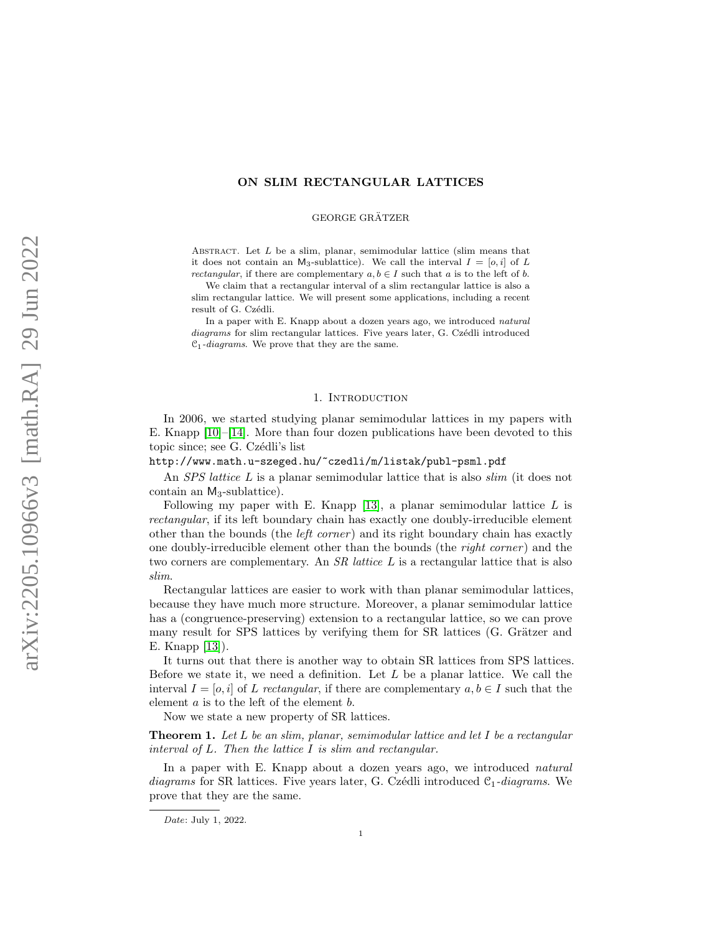## ON SLIM RECTANGULAR LATTICES

#### GEORGE GRÄTZER

ABSTRACT. Let  $L$  be a slim, planar, semimodular lattice (slim means that it does not contain an M<sub>3</sub>-sublattice). We call the interval  $I = [o, i]$  of L *rectangular*, if there are complementary  $a, b \in I$  such that a is to the left of b.

We claim that a rectangular interval of a slim rectangular lattice is also a slim rectangular lattice. We will present some applications, including a recent result of G. Czédli.

In a paper with E. Knapp about a dozen years ago, we introduced natural diagrams for slim rectangular lattices. Five years later, G. Czédli introduced  $\mathcal{C}_1$ -diagrams. We prove that they are the same.

#### 1. INTRODUCTION

In 2006, we started studying planar semimodular lattices in my papers with E. Knapp [\[10\]](#page-8-0)–[\[14\]](#page-8-1). More than four dozen publications have been devoted to this topic since; see G. Czédli's list

# http://www.math.u-szeged.hu/~czedli/m/listak/publ-psml.pdf

An *SPS* lattice L is a planar semimodular lattice that is also *slim* (it does not contain an  $M_3$ -sublattice).

Following my paper with E. Knapp  $[13]$ , a planar semimodular lattice L is rectangular, if its left boundary chain has exactly one doubly-irreducible element other than the bounds (the *left corner*) and its right boundary chain has exactly one doubly-irreducible element other than the bounds (the right corner ) and the two corners are complementary. An  $SR$  lattice  $L$  is a rectangular lattice that is also slim.

Rectangular lattices are easier to work with than planar semimodular lattices, because they have much more structure. Moreover, a planar semimodular lattice has a (congruence-preserving) extension to a rectangular lattice, so we can prove many result for SPS lattices by verifying them for SR lattices (G. Grätzer and E. Knapp [\[13\]](#page-8-2)).

It turns out that there is another way to obtain SR lattices from SPS lattices. Before we state it, we need a definition. Let  $L$  be a planar lattice. We call the interval  $I = [o, i]$  of L rectangular, if there are complementary  $a, b \in I$  such that the element a is to the left of the element b.

Now we state a new property of SR lattices.

<span id="page-0-0"></span>**Theorem 1.** Let L be an slim, planar, semimodular lattice and let I be a rectangular interval of L. Then the lattice I is slim and rectangular.

In a paper with E. Knapp about a dozen years ago, we introduced *natural* diagrams for SR lattices. Five years later, G. Czédli introduced  $C_1$ -diagrams. We prove that they are the same.

Date: July 1, 2022.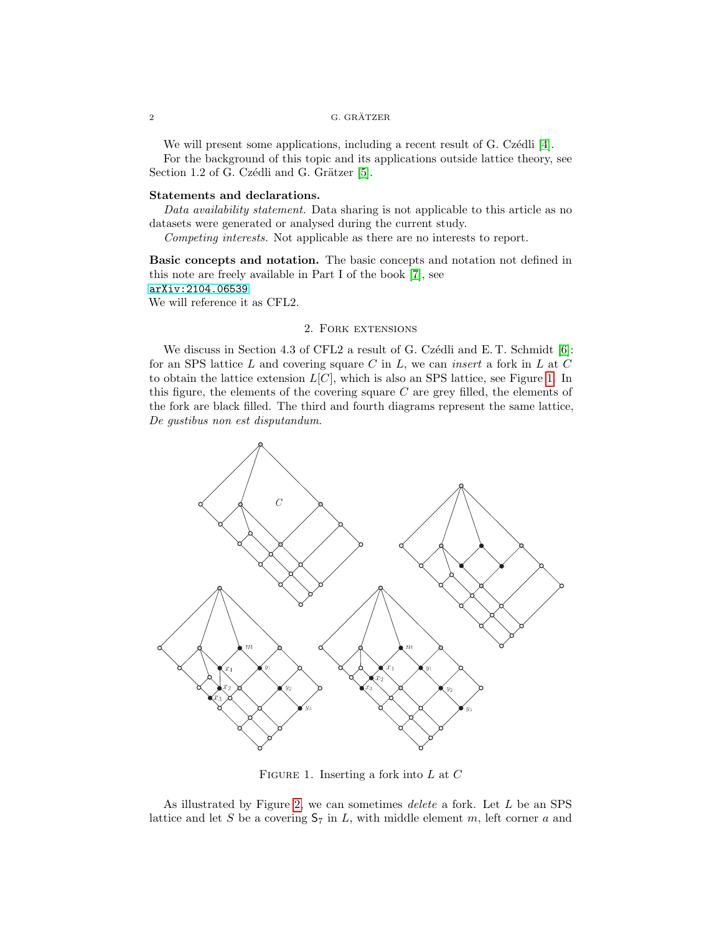#### $\,$  G. GRÄTZER  $\,$  G. GRÄTZER  $\,$

We will present some applications, including a recent result of G. Czédli [\[4\]](#page-8-3).

For the background of this topic and its applications outside lattice theory, see Section 1.2 of G. Czédli and G. Grätzer [\[5\]](#page-8-4).

## Statements and declarations.

Data availability statement. Data sharing is not applicable to this article as no datasets were generated or analysed during the current study.

Competing interests. Not applicable as there are no interests to report.

Basic concepts and notation. The basic concepts and notation not defined in this note are freely available in Part I of the book [\[7\]](#page-8-5), see [arXiv:2104.06539](http://arxiv.org/abs/2104.06539)

We will reference it as CFL2.

## 2. Fork extensions

We discuss in Section 4.3 of CFL2 a result of G. Czédli and E. T. Schmidt [\[6\]](#page-8-6): for an SPS lattice  $L$  and covering square  $C$  in  $L$ , we can *insert* a fork in  $L$  at  $C$ to obtain the lattice extension  $L[C]$ , which is also an SPS lattice, see Figure [1.](#page-1-0) In this figure, the elements of the covering square  $C$  are grey filled, the elements of the fork are black filled. The third and fourth diagrams represent the same lattice, De gustibus non est disputandum.



<span id="page-1-0"></span>FIGURE 1. Inserting a fork into  $L$  at  $C$ 

As illustrated by Figure [2,](#page-2-0) we can sometimes *delete* a fork. Let L be an SPS lattice and let S be a covering  $S_7$  in L, with middle element m, left corner a and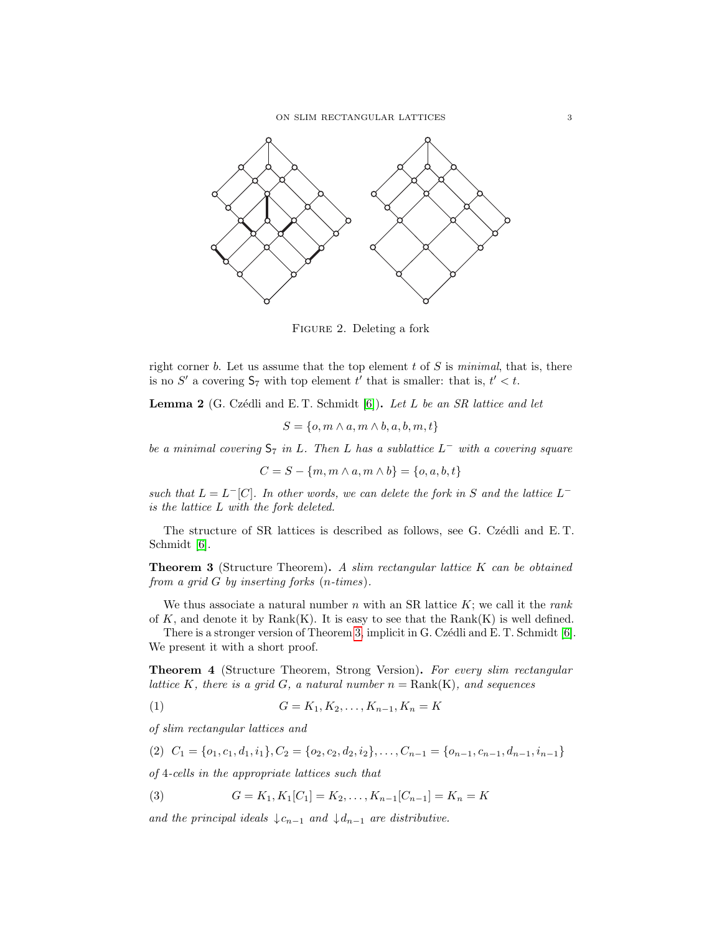ON SLIM RECTANGULAR LATTICES  $\hspace{2cm} 3$ 



<span id="page-2-0"></span>Figure 2. Deleting a fork

right corner b. Let us assume that the top element  $t$  of  $S$  is minimal, that is, there is no S' a covering  $S_7$  with top element t' that is smaller: that is,  $t' < t$ .

<span id="page-2-2"></span>**Lemma 2** (G. Czédli and E. T. Schmidt  $[6]$ ). Let L be an SR lattice and let

 $S = \{o, m \wedge a, m \wedge b, a, b, m, t\}$ 

be a minimal covering  $S_7$  in L. Then L has a sublattice  $L^-$  with a covering square

$$
C = S - \{m, m \wedge a, m \wedge b\} = \{o, a, b, t\}
$$

such that  $L = L^{-}[C]$ . In other words, we can delete the fork in S and the lattice  $L^{-}$ is the lattice L with the fork deleted.

The structure of SR lattices is described as follows, see G. Czédli and E.T. Schmidt [\[6\]](#page-8-6).

<span id="page-2-1"></span>**Theorem 3** (Structure Theorem). A slim rectangular lattice K can be obtained from a grid G by inserting forks (n-times).

We thus associate a natural number  $n$  with an SR lattice  $K$ ; we call it the rank of  $K$ , and denote it by  $Rank(K)$ . It is easy to see that the  $Rank(K)$  is well defined.

There is a stronger version of Theorem [3,](#page-2-1) implicit in G. Czédli and E. T. Schmidt  $[6]$ . We present it with a short proof.

Theorem 4 (Structure Theorem, Strong Version). For every slim rectangular lattice K, there is a grid G, a natural number  $n = Rank(K)$ , and sequences

(1) 
$$
G = K_1, K_2, \dots, K_{n-1}, K_n = K
$$

of slim rectangular lattices and

$$
(2) \ \ C_1 = \{o_1, c_1, d_1, i_1\}, C_2 = \{o_2, c_2, d_2, i_2\}, \dots, C_{n-1} = \{o_{n-1}, c_{n-1}, d_{n-1}, i_{n-1}\}\
$$

of 4-cells in the appropriate lattices such that

(3) 
$$
G = K_1, K_1[C_1] = K_2, \dots, K_{n-1}[C_{n-1}] = K_n = K
$$

and the principal ideals  $\downarrow c_{n-1}$  and  $\downarrow d_{n-1}$  are distributive.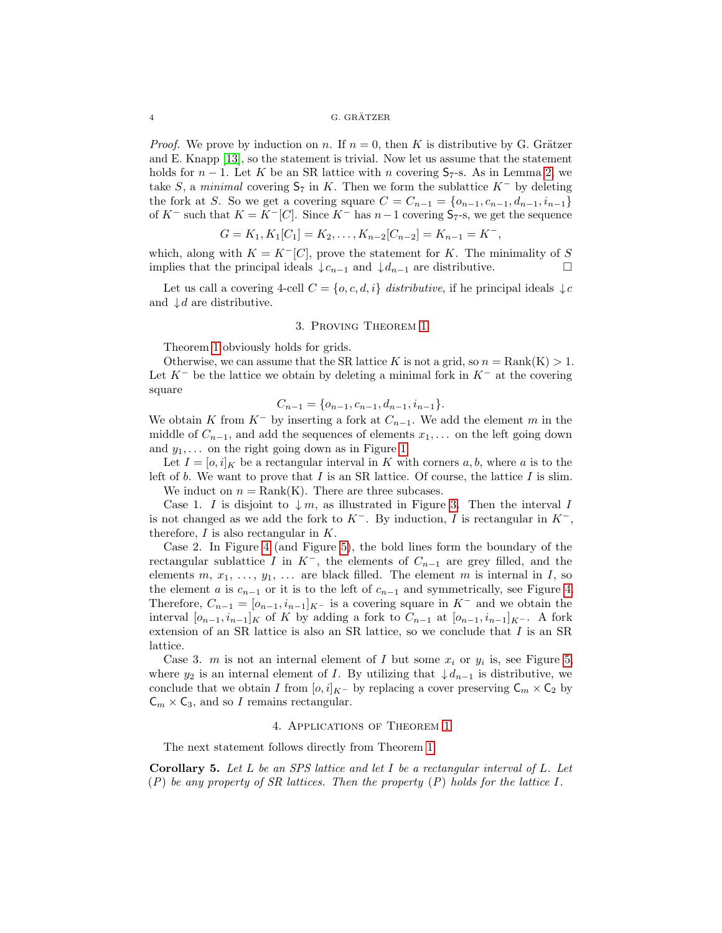#### $\,$  G. GRÄTZER  $\,$  G. GRÄTZER  $\,$

*Proof.* We prove by induction on n. If  $n = 0$ , then K is distributive by G. Grätzer and E. Knapp [\[13\]](#page-8-2), so the statement is trivial. Now let us assume that the statement holds for  $n-1$ . Let K be an SR lattice with n covering  $S_7$ -s. As in Lemma [2,](#page-2-2) we take S, a minimal covering  $S_7$  in K. Then we form the sublattice  $K^-$  by deleting the fork at S. So we get a covering square  $C = C_{n-1} = \{o_{n-1}, c_{n-1}, d_{n-1}, i_{n-1}\}\$ of K<sup>-</sup> such that  $K = K^{-}[C]$ . Since K<sup>-</sup> has  $n-1$  covering  $S_{7}$ -s, we get the sequence

$$
G = K_1, K_1[C_1] = K_2, \dots, K_{n-2}[C_{n-2}] = K_{n-1} = K^-,
$$

which, along with  $K = K^{-}[C]$ , prove the statement for K. The minimality of S implies that the principal ideals  $\downarrow c_{n-1}$  and  $\downarrow d_{n-1}$  are distributive.

Let us call a covering 4-cell  $C = \{o, c, d, i\}$  distributive, if he principal ideals  $\downarrow c$ and  $\downarrow d$  are distributive.

### 3. Proving Theorem [1](#page-0-0)

Theorem [1](#page-0-0) obviously holds for grids.

Otherwise, we can assume that the SR lattice K is not a grid, so  $n = \text{Rank}(K) > 1$ . Let  $K^-$  be the lattice we obtain by deleting a minimal fork in  $K^-$  at the covering square

$$
C_{n-1} = \{o_{n-1}, c_{n-1}, d_{n-1}, i_{n-1}\}.
$$

We obtain K from  $K^-$  by inserting a fork at  $C_{n-1}$ . We add the element m in the middle of  $C_{n-1}$ , and add the sequences of elements  $x_1, \ldots$  on the left going down and  $y_1, \ldots$  on the right going down as in Figure [1.](#page-1-0)

Let  $I = [o, i]_K$  be a rectangular interval in K with corners a, b, where a is to the left of b. We want to prove that I is an SR lattice. Of course, the lattice I is slim.

We induct on  $n = Rank(K)$ . There are three subcases.

Case 1. I is disjoint to  $\downarrow m$ , as illustrated in Figure [3.](#page-4-0) Then the interval I is not changed as we add the fork to  $K^-$ . By induction, I is rectangular in  $K^-$ , therefore,  $I$  is also rectangular in  $K$ .

Case 2. In Figure [4](#page-4-1) (and Figure [5\)](#page-5-0), the bold lines form the boundary of the rectangular sublattice I in  $K^-$ , the elements of  $C_{n-1}$  are grey filled, and the elements  $m, x_1, \ldots, y_1, \ldots$  are black filled. The element m is internal in I, so the element a is  $c_{n-1}$  or it is to the left of  $c_{n-1}$  and symmetrically, see Figure [4.](#page-4-1) Therefore,  $C_{n-1} = [o_{n-1}, i_{n-1}]_{K^-}$  is a covering square in  $K^-$  and we obtain the interval  $[o_{n-1}, i_{n-1}]_K$  of K by adding a fork to  $C_{n-1}$  at  $[b_{n-1}, i_{n-1}]_K$ -. A fork extension of an SR lattice is also an SR lattice, so we conclude that  $I$  is an SR lattice.

Case 3. m is not an internal element of I but some  $x_i$  or  $y_i$  is, see Figure [5,](#page-5-0) where  $y_2$  is an internal element of I. By utilizing that  $\downarrow d_{n-1}$  is distributive, we conclude that we obtain I from  $[o, i]_{K^-}$  by replacing a cover preserving  $\mathsf{C}_m \times \mathsf{C}_2$  by  $\mathsf{C}_m \times \mathsf{C}_3$ , and so I remains rectangular.

## 4. Applications of Theorem [1](#page-0-0)

The next statement follows directly from Theorem [1.](#page-0-0)

Corollary 5. Let  $L$  be an SPS lattice and let  $I$  be a rectangular interval of  $L$ . Let  $(P)$  be any property of SR lattices. Then the property  $(P)$  holds for the lattice I.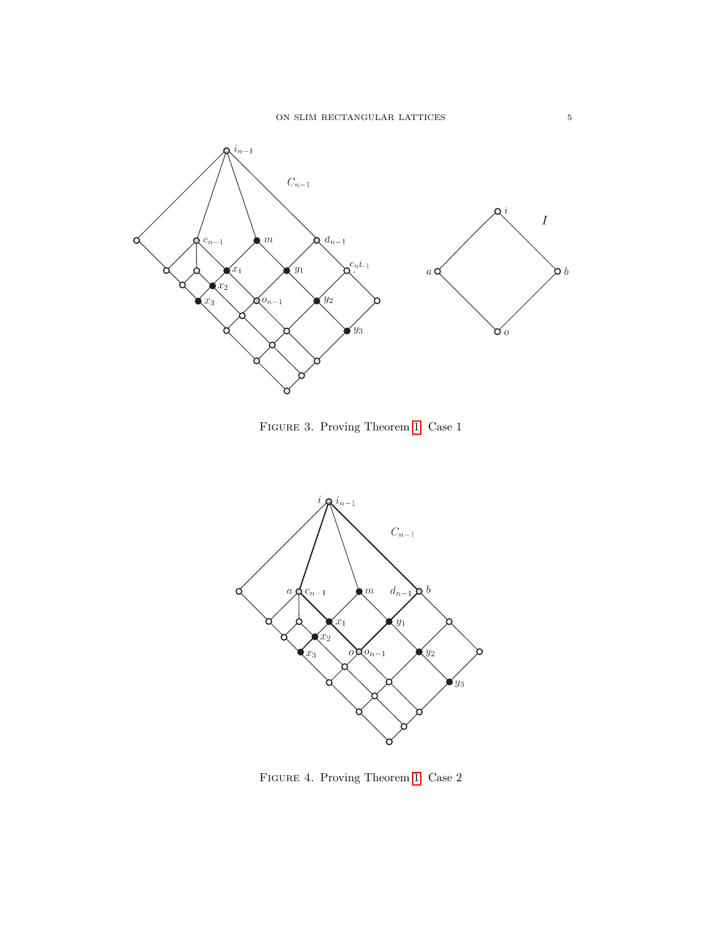

<span id="page-4-0"></span>Figure 3. Proving Theorem [1:](#page-0-0) Case 1



<span id="page-4-1"></span>Figure 4. Proving Theorem [1:](#page-0-0) Case 2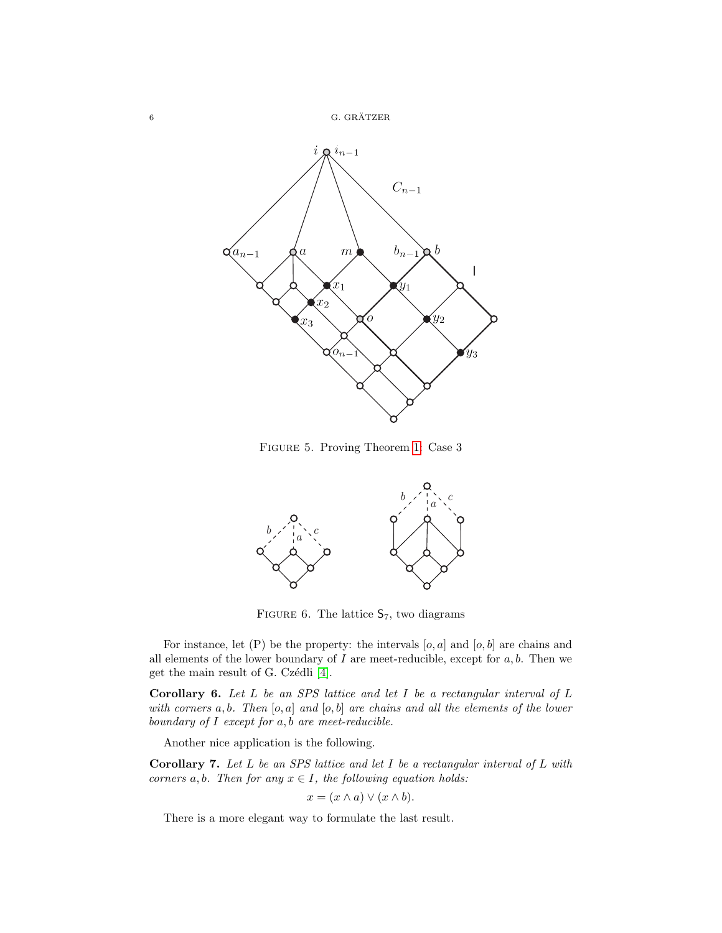

<span id="page-5-0"></span>Figure 5. Proving Theorem [1:](#page-0-0) Case 3



<span id="page-5-1"></span>FIGURE 6. The lattice  $S_7$ , two diagrams

For instance, let  $(P)$  be the property: the intervals  $[o, a]$  and  $[o, b]$  are chains and all elements of the lower boundary of  $I$  are meet-reducible, except for  $a, b$ . Then we get the main result of G. Czédli [\[4\]](#page-8-3).

**Corollary 6.** Let  $L$  be an SPS lattice and let  $I$  be a rectangular interval of  $L$ with corners  $a, b$ . Then  $[o, a]$  and  $[o, b]$  are chains and all the elements of the lower boundary of  $I$  except for  $a, b$  are meet-reducible.

Another nice application is the following.

**Corollary 7.** Let  $L$  be an SPS lattice and let  $I$  be a rectangular interval of  $L$  with corners a, b. Then for any  $x \in I$ , the following equation holds:

$$
x = (x \wedge a) \vee (x \wedge b).
$$

There is a more elegant way to formulate the last result.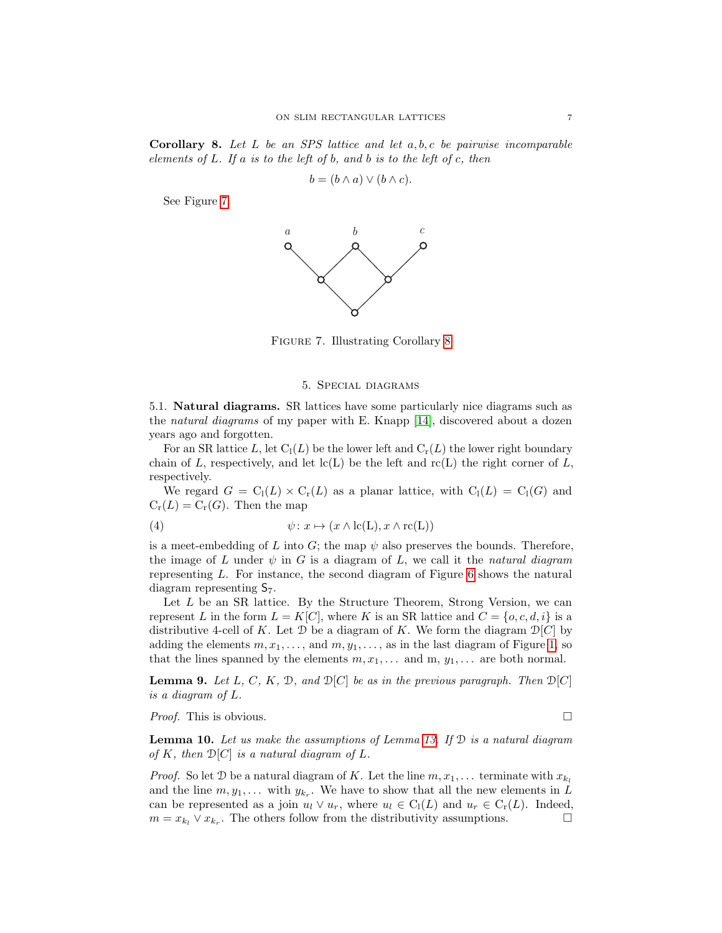<span id="page-6-1"></span>**Corollary 8.** Let  $L$  be an SPS lattice and let  $a, b, c$  be pairwise incomparable elements of  $L$ . If  $a$  is to the left of  $b$ , and  $b$  is to the left of  $c$ , then

$$
b = (b \wedge a) \vee (b \wedge c).
$$

See Figure [7.](#page-6-0)



Figure 7. Illustrating Corollary [8](#page-6-1)

#### <span id="page-6-2"></span><span id="page-6-0"></span>5. Special diagrams

5.1. Natural diagrams. SR lattices have some particularly nice diagrams such as the natural diagrams of my paper with E. Knapp [\[14\]](#page-8-1), discovered about a dozen years ago and forgotten.

For an SR lattice L, let  $C_l(L)$  be the lower left and  $C_r(L)$  the lower right boundary chain of L, respectively, and let  $lc(L)$  be the left and  $rc(L)$  the right corner of L, respectively.

We regard  $G = C_1(L) \times C_r(L)$  as a planar lattice, with  $C_1(L) = C_1(G)$  and  $C_r(L) = C_r(G)$ . Then the map

(4) 
$$
\psi: x \mapsto (x \wedge \mathrm{lc}(L), x \wedge \mathrm{rc}(L))
$$

is a meet-embedding of L into G; the map  $\psi$  also preserves the bounds. Therefore, the image of L under  $\psi$  in G is a diagram of L, we call it the natural diagram representing L. For instance, the second diagram of Figure [6](#page-5-1) shows the natural diagram representing  $S_7$ .

Let  $L$  be an SR lattice. By the Structure Theorem, Strong Version, we can represent L in the form  $L = K[C]$ , where K is an SR lattice and  $C = \{o, c, d, i\}$  is a distributive 4-cell of K. Let  $\mathcal D$  be a diagram of K. We form the diagram  $\mathcal D[C]$  by adding the elements  $m, x_1, \ldots$ , and  $m, y_1, \ldots$ , as in the last diagram of Figure [1,](#page-1-0) so that the lines spanned by the elements  $m, x_1, \ldots$  and  $m, y_1, \ldots$  are both normal.

**Lemma 9.** Let L, C, K, D, and  $\mathcal{D}[C]$  be as in the previous paragraph. Then  $\mathcal{D}[C]$ is a diagram of L.

*Proof.* This is obvious.  $\Box$ 

**Lemma 10.** Let us make the assumptions of Lemma [13.](#page-7-0) If  $D$  is a natural diagram of K, then  $\mathcal{D}[C]$  is a natural diagram of L.

*Proof.* So let D be a natural diagram of K. Let the line  $m, x_1, \ldots$  terminate with  $x_{k_l}$ and the line  $m, y_1, \ldots$  with  $y_{k_r}$ . We have to show that all the new elements in L can be represented as a join  $u_l \vee u_r$ , where  $u_l \in C_l(L)$  and  $u_r \in C_r(L)$ . Indeed,  $m = x_{k_l} \vee x_{k_r}$ . The others follow from the distributivity assumptions.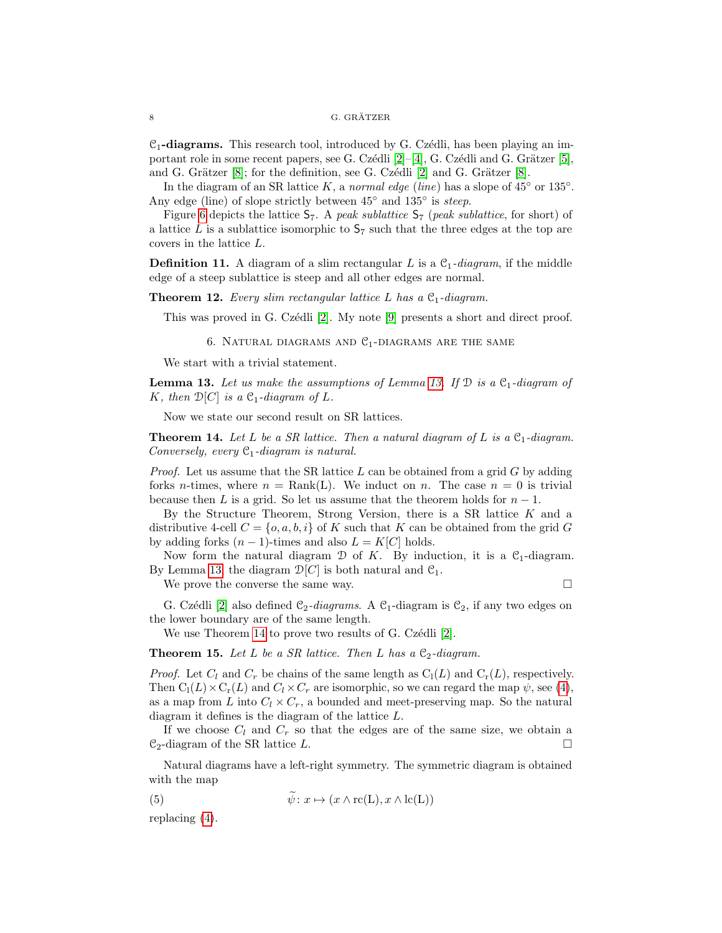$\mathcal{C}_1$ -diagrams. This research tool, introduced by G. Czédli, has been playing an important role in some recent papers, see G. Czédli  $[2]-[4]$  $[2]-[4]$  $[2]-[4]$ , G. Czédli and G. Grätzer [\[5\]](#page-8-4), and G. Grätzer  $[8]$ ; for the definition, see G. Czédli  $[2]$  and G. Grätzer  $[8]$ .

In the diagram of an SR lattice K, a normal edge (line) has a slope of  $45^{\circ}$  or  $135^{\circ}$ . Any edge (line) of slope strictly between  $45^{\circ}$  and  $135^{\circ}$  is steep.

Figure [6](#page-5-1) depicts the lattice  $S_7$ . A peak sublattice  $S_7$  (peak sublattice, for short) of a lattice L is a sublattice isomorphic to  $S_7$  such that the three edges at the top are covers in the lattice L.

**Definition 11.** A diagram of a slim rectangular L is a  $C_1$ -diagram, if the middle edge of a steep sublattice is steep and all other edges are normal.

**Theorem 12.** Every slim rectangular lattice L has a  $C_1$ -diagram.

This was proved in G. Czédli  $[2]$ . My note  $[9]$  presents a short and direct proof.

6. NATURAL DIAGRAMS AND  $C_1$ -DIAGRAMS ARE THE SAME

We start with a trivial statement.

<span id="page-7-0"></span>**Lemma [13.](#page-7-0)** Let us make the assumptions of Lemma 13. If  $\mathcal{D}$  is a  $\mathcal{C}_1$ -diagram of K, then  $\mathcal{D}[C]$  is a  $\mathcal{C}_1$ -diagram of L.

Now we state our second result on SR lattices.

<span id="page-7-1"></span>**Theorem 14.** Let L be a SR lattice. Then a natural diagram of L is a  $C_1$ -diagram. Conversely, every  $C_1$ -diagram is natural.

*Proof.* Let us assume that the SR lattice  $L$  can be obtained from a grid  $G$  by adding forks *n*-times, where  $n = \text{Rank}(L)$ . We induct on *n*. The case  $n = 0$  is trivial because then L is a grid. So let us assume that the theorem holds for  $n-1$ .

By the Structure Theorem, Strong Version, there is a SR lattice  $K$  and a distributive 4-cell  $C = \{o, a, b, i\}$  of K such that K can be obtained from the grid G by adding forks  $(n-1)$ -times and also  $L = K[C]$  holds.

Now form the natural diagram  $\mathcal D$  of K. By induction, it is a  $\mathcal C_1$ -diagram. By Lemma [13,](#page-7-0) the diagram  $\mathcal{D}[C]$  is both natural and  $\mathcal{C}_1$ .

We prove the converse the same way.  $\Box$ 

G. Czédli [\[2\]](#page-8-7) also defined  $C_2$ -diagrams. A  $C_1$ -diagram is  $C_2$ , if any two edges on the lower boundary are of the same length.

We use Theorem [14](#page-7-1) to prove two results of G. Czédli [\[2\]](#page-8-7).

**Theorem 15.** Let L be a SR lattice. Then L has a  $C_2$ -diagram.

*Proof.* Let  $C_l$  and  $C_r$  be chains of the same length as  $C_l(L)$  and  $C_r(L)$ , respectively. Then  $C_l(L) \times C_r(L)$  and  $C_l \times C_r$  are isomorphic, so we can regard the map  $\psi$ , see [\(4\)](#page-6-2), as a map from  $L$  into  $C_l \times C_r$ , a bounded and meet-preserving map. So the natural diagram it defines is the diagram of the lattice L.

If we choose  $C_l$  and  $C_r$  so that the edges are of the same size, we obtain a  $\mathcal{C}_2$ -diagram of the SR lattice L.

Natural diagrams have a left-right symmetry. The symmetric diagram is obtained with the map

(5) 
$$
\psi: x \mapsto (x \wedge \text{rc}(L), x \wedge \text{lc}(L))
$$

replacing [\(4\)](#page-6-2).